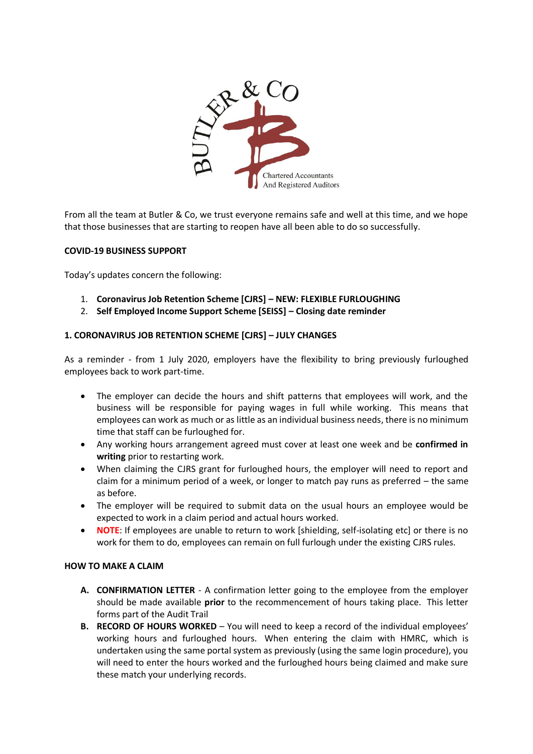

From all the team at Butler & Co, we trust everyone remains safe and well at this time, and we hope that those businesses that are starting to reopen have all been able to do so successfully.

# **COVID-19 BUSINESS SUPPORT**

Today's updates concern the following:

- 1. **Coronavirus Job Retention Scheme [CJRS] – NEW: FLEXIBLE FURLOUGHING**
- 2. **Self Employed Income Support Scheme [SEISS] – Closing date reminder**

# **1. CORONAVIRUS JOB RETENTION SCHEME [CJRS] – JULY CHANGES**

As a reminder - from 1 July 2020, employers have the flexibility to bring previously furloughed employees back to work part-time.

- The employer can decide the hours and shift patterns that employees will work, and the business will be responsible for paying wages in full while working. This means that employees can work as much or as little as an individual business needs, there is no minimum time that staff can be furloughed for.
- Any working hours arrangement agreed must cover at least one week and be **confirmed in writing** prior to restarting work.
- When claiming the CJRS grant for furloughed hours, the employer will need to report and claim for a minimum period of a week, or longer to match pay runs as preferred – the same as before.
- The employer will be required to submit data on the usual hours an employee would be expected to work in a claim period and actual hours worked.
- **NOTE**: If employees are unable to return to work [shielding, self-isolating etc] or there is no work for them to do, employees can remain on full furlough under the existing CJRS rules.

# **HOW TO MAKE A CLAIM**

- **A. CONFIRMATION LETTER** A confirmation letter going to the employee from the employer should be made available **prior** to the recommencement of hours taking place. This letter forms part of the Audit Trail
- **B. RECORD OF HOURS WORKED** You will need to keep a record of the individual employees' working hours and furloughed hours. When entering the claim with HMRC, which is undertaken using the same portal system as previously (using the same login procedure), you will need to enter the hours worked and the furloughed hours being claimed and make sure these match your underlying records.